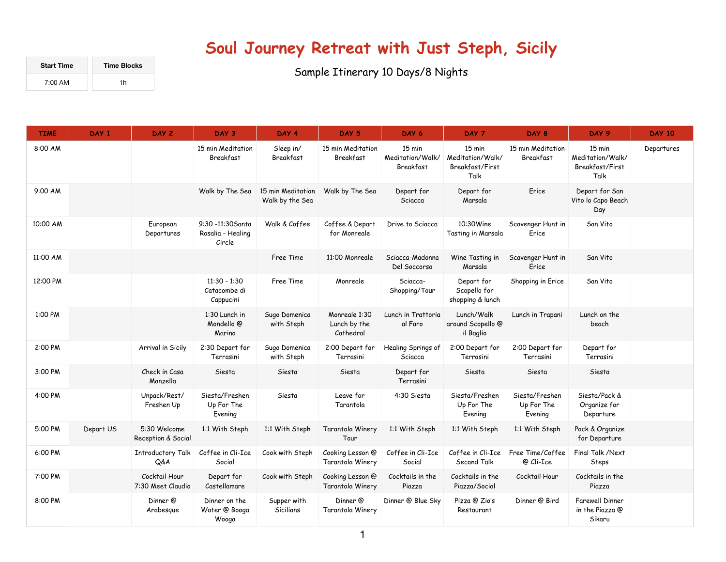## **Soul Journey Retreat with Just Steph, Sicily**

| <b>Start Time</b> | <b>Time Blocks</b> |  |  |  |  |
|-------------------|--------------------|--|--|--|--|
| $7:00 \text{ AM}$ | 1h                 |  |  |  |  |

Sample Itinerary 10 Days/8 Nights

| <b>TIME</b> | DAY <sub>1</sub> | DAY 2                              | DAY 3                                            | DAY 4                                | DAY 5                                      | DAY 6                                   | DAY 7                                                           | DAY 8                                   | DAY 9                                                 | <b>DAY 10</b> |
|-------------|------------------|------------------------------------|--------------------------------------------------|--------------------------------------|--------------------------------------------|-----------------------------------------|-----------------------------------------------------------------|-----------------------------------------|-------------------------------------------------------|---------------|
| 8:00 AM     |                  |                                    | 15 min Meditation<br>Breakfast                   | Sleep in/<br>Breakfast               | 15 min Meditation<br>Breakfast             | 15 min<br>Meditation/Walk/<br>Breakfast | $15 \text{ min}$<br>Meditation/Walk/<br>Breakfast/First<br>Talk | 15 min Meditation<br>Breakfast          | 15 min<br>Meditation/Walk/<br>Breakfast/First<br>Talk | Departures    |
| 9:00 AM     |                  |                                    | Walk by The Sea                                  | 15 min Meditation<br>Walk by the Sea | Walk by The Sea                            | Depart for<br>Sciacca                   | Depart for<br>Marsala                                           | Erice                                   | Depart for San<br>Vito lo Capo Beach<br>Day           |               |
| 10:00 AM    |                  | European<br>Departures             | 9:30 -11:30 Santa<br>Rosalia - Healing<br>Circle | Walk & Coffee                        | Coffee & Depart<br>for Monreale            | Drive to Sciacca                        | 10:30Wine<br>Tasting in Marsala                                 | Scavenger Hunt in<br>Erice              | San Vito                                              |               |
| 11:00 AM    |                  |                                    |                                                  | Free Time                            | 11:00 Monreale                             | Sciacca-Madonna<br>Del Soccorso         | Wine Tasting in<br>Marsala                                      | Scavenger Hunt in<br>Erice              | San Vito                                              |               |
| 12:00 PM    |                  |                                    | $11:30 - 1:30$<br>Catacombe di<br>Cappucini      | Free Time                            | Monreale                                   | Sciacca-<br>Shopping/Tour               | Depart for<br>Scopello for<br>shopping & lunch                  | Shopping in Erice                       | San Vito                                              |               |
| 1:00 PM     |                  |                                    | 1:30 Lunch in<br>Mondello @<br>Marino            | Sugo Domenica<br>with Steph          | Monreale 1:30<br>Lunch by the<br>Cathedral | Lunch in Trattoria<br>al Faro           | Lunch/Walk<br>around Scopello @<br>il Baglio                    | Lunch in Trapani                        | Lunch on the<br>beach                                 |               |
| 2:00 PM     |                  | Arrival in Sicily                  | 2:30 Depart for<br>Terrasini                     | Sugo Domenica<br>with Steph          | 2:00 Depart for<br>Terrasini               | Healing Springs of<br>Sciacca           | 2:00 Depart for<br>Terrasini                                    | 2:00 Depart for<br>Terrasini            | Depart for<br>Terrasini                               |               |
| 3:00 PM     |                  | Check in Casa<br>Manzella          | Siesta                                           | Siesta                               | Siesta                                     | Depart for<br>Terrasini                 | Siesta                                                          | Siesta                                  | Siesta                                                |               |
| 4:00 PM     |                  | Unpack/Rest/<br>Freshen Up         | Siesta/Freshen<br>Up For The<br>Evening          | Siesta                               | Leave for<br>Tarantola                     | 4:30 Siesta                             | Siesta/Freshen<br>Up For The<br>Evening                         | Siesta/Freshen<br>Up For The<br>Evening | Siesta/Pack &<br>Organize for<br>Departure            |               |
| 5:00 PM     | Depart US        | 5:30 Welcome<br>Reception & Social | 1:1 With Steph                                   | 1:1 With Steph                       | Tarantola Winery<br>Tour                   | 1:1 With Steph                          | 1:1 With Steph                                                  | 1:1 With Steph                          | Pack & Organize<br>for Departure                      |               |
| 6:00 PM     |                  | Introductory Talk<br>Q&A           | Coffee in Cli-Ice<br>Social                      | Cook with Steph                      | Cooking Lesson @<br>Tarantola Winery       | Coffee in Cli-Ice<br>Social             | Coffee in Cli-Ice<br>Second Talk                                | Free Time/Coffee<br>@ Cli-Ice           | Final Talk /Next<br>Steps                             |               |
| 7:00 PM     |                  | Cocktail Hour<br>7:30 Meet Claudio | Depart for<br>Castellamare                       | Cook with Steph                      | Cooking Lesson @<br>Tarantola Winery       | Cocktails in the<br>Piazza              | Cocktails in the<br>Piazza/Social                               | Cocktail Hour                           | Cocktails in the<br>Piazza                            |               |
| 8:00 PM     |                  | Dinner @<br>Arabesque              | Dinner on the<br>Water @ Booga<br>Wooga          | Supper with<br>Sicilians             | Dinner @<br>Tarantola Winery               | Dinner @ Blue Sky                       | Pizza @ Zio's<br>Restaurant                                     | Dinner @ Bird                           | <b>Farewell Dinner</b><br>in the Piazza @<br>Sikaru   |               |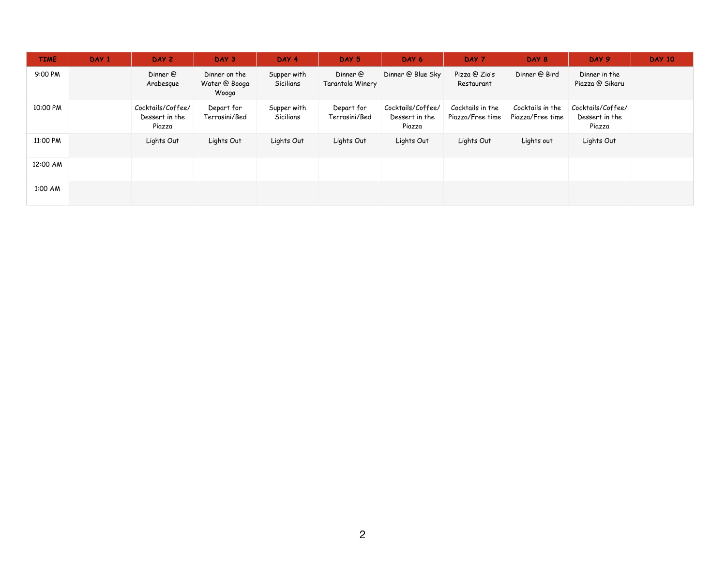| <b>TIME</b> | DAY 1 | DAY 2                                         | DAY 3                                   | DAY 4                    | DAY 5                        | DAY 6                                         | DAY 7                                | DAY 8                                | DAY 9                                         | <b>DAY 10</b> |
|-------------|-------|-----------------------------------------------|-----------------------------------------|--------------------------|------------------------------|-----------------------------------------------|--------------------------------------|--------------------------------------|-----------------------------------------------|---------------|
| 9:00 PM     |       | Dinner @<br>Arabesque                         | Dinner on the<br>Water @ Booga<br>Wooga | Supper with<br>Sicilians | Dinner @<br>Tarantola Winery | Dinner @ Blue Sky                             | Pizza @ Zio's<br>Restaurant          | Dinner @ Bird                        | Dinner in the<br>Piazza @ Sikaru              |               |
| 10:00 PM    |       | Cocktails/Coffee/<br>Dessert in the<br>Piazza | Depart for<br>Terrasini/Bed             | Supper with<br>Sicilians | Depart for<br>Terrasini/Bed  | Cocktails/Coffee/<br>Dessert in the<br>Piazza | Cocktails in the<br>Piazza/Free time | Cocktails in the<br>Piazza/Free time | Cocktails/Coffee/<br>Dessert in the<br>Piazza |               |
| 11:00 PM    |       | Lights Out                                    | Lights Out                              | Lights Out               | Lights Out                   | Lights Out                                    | Lights Out                           | Lights out                           | Lights Out                                    |               |
| 12:00 AM    |       |                                               |                                         |                          |                              |                                               |                                      |                                      |                                               |               |
| 1:00 AM     |       |                                               |                                         |                          |                              |                                               |                                      |                                      |                                               |               |